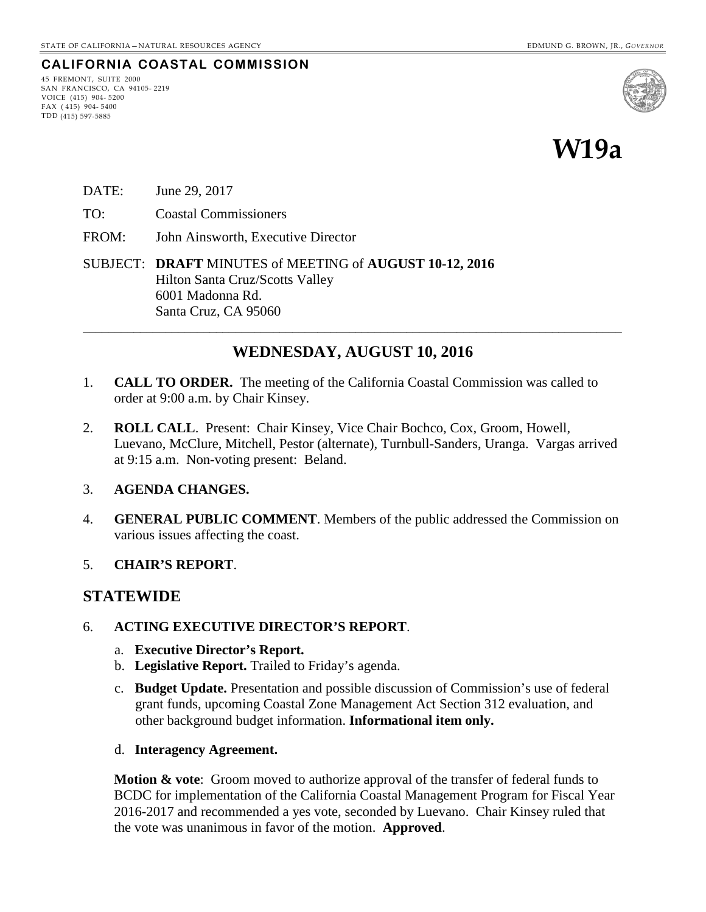### **CALIFORNIA COASTAL COMMISSION**

45 FREMONT, SUITE 2000 SAN FRANCISCO, CA 94105- 2219 VOICE (415) 904- 5200 FAX ( 415) 904- 5400 TDD (415) 597-5885



# **W19a**

- DATE: June 29, 2017
- TO: Coastal Commissioners
- FROM: John Ainsworth, Executive Director
- SUBJECT: **DRAFT** MINUTES of MEETING of **AUGUST 10-12, 2016** Hilton Santa Cruz/Scotts Valley 6001 Madonna Rd. Santa Cruz, CA 95060

# **WEDNESDAY, AUGUST 10, 2016**

\_\_\_\_\_\_\_\_\_\_\_\_\_\_\_\_\_\_\_\_\_\_\_\_\_\_\_\_\_\_\_\_\_\_\_\_\_\_\_\_\_\_\_\_\_\_\_\_\_\_\_\_\_\_\_\_\_\_\_\_\_\_\_\_\_\_\_\_\_\_\_\_\_\_\_\_\_\_\_\_\_\_\_\_\_

- 1. **CALL TO ORDER.** The meeting of the California Coastal Commission was called to order at 9:00 a.m. by Chair Kinsey.
- 2. **ROLL CALL**. Present: Chair Kinsey, Vice Chair Bochco, Cox, Groom, Howell, Luevano, McClure, Mitchell, Pestor (alternate), Turnbull-Sanders, Uranga. Vargas arrived at 9:15 a.m. Non-voting present: Beland.

#### 3. **AGENDA CHANGES.**

- 4. **GENERAL PUBLIC COMMENT**. Members of the public addressed the Commission on various issues affecting the coast.
- 5. **CHAIR'S REPORT**.

### **STATEWIDE**

- 6. **ACTING EXECUTIVE DIRECTOR'S REPORT**.
	- a. **Executive Director's Report.**
	- b. **Legislative Report.** Trailed to Friday's agenda.
	- c. **Budget Update.** Presentation and possible discussion of Commission's use of federal grant funds, upcoming Coastal Zone Management Act Section 312 evaluation, and other background budget information. **Informational item only.**
	- d. **Interagency Agreement.**

**Motion & vote**: Groom moved to authorize approval of the transfer of federal funds to BCDC for implementation of the California Coastal Management Program for Fiscal Year 2016-2017 and recommended a yes vote, seconded by Luevano. Chair Kinsey ruled that the vote was unanimous in favor of the motion. **Approved**.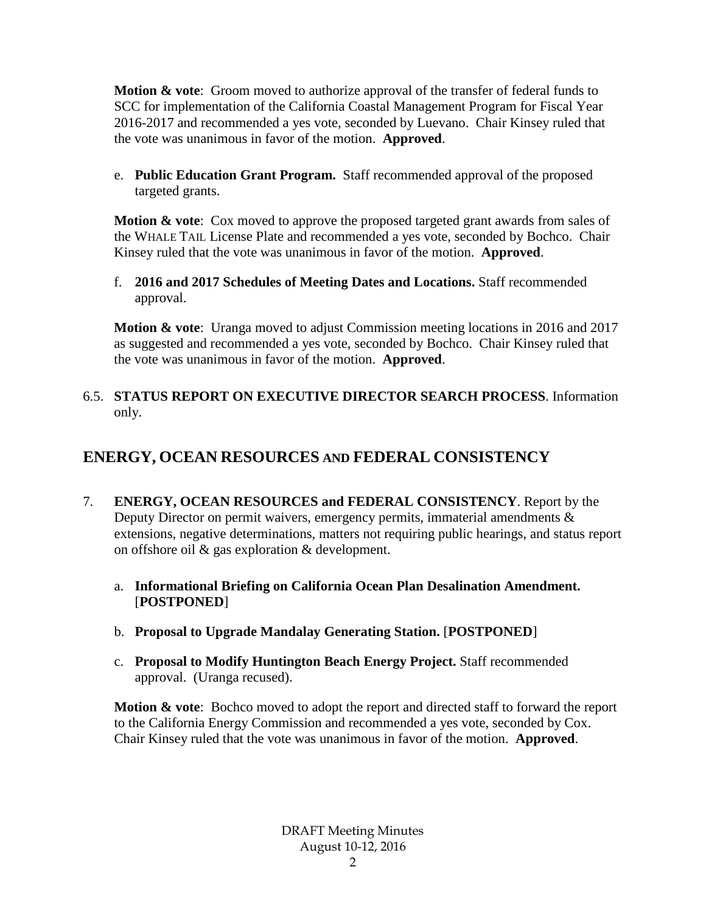**Motion & vote**: Groom moved to authorize approval of the transfer of federal funds to SCC for implementation of the California Coastal Management Program for Fiscal Year 2016-2017 and recommended a yes vote, seconded by Luevano. Chair Kinsey ruled that the vote was unanimous in favor of the motion. **Approved**.

e. **Public Education Grant Program.** Staff recommended approval of the proposed targeted grants.

**Motion & vote:** Cox moved to approve the proposed targeted grant awards from sales of the WHALE TAIL License Plate and recommended a yes vote, seconded by Bochco. Chair Kinsey ruled that the vote was unanimous in favor of the motion. **Approved**.

f. **2016 and 2017 Schedules of Meeting Dates and Locations.** Staff recommended approval.

**Motion & vote**: Uranga moved to adjust Commission meeting locations in 2016 and 2017 as suggested and recommended a yes vote, seconded by Bochco. Chair Kinsey ruled that the vote was unanimous in favor of the motion. **Approved**.

### 6.5. **STATUS REPORT ON EXECUTIVE DIRECTOR SEARCH PROCESS**. Information only.

# **ENERGY, OCEAN RESOURCES AND FEDERAL CONSISTENCY**

- 7. **ENERGY, OCEAN RESOURCES and FEDERAL CONSISTENCY**. Report by the Deputy Director on permit waivers, emergency permits, immaterial amendments & extensions, negative determinations, matters not requiring public hearings, and status report on offshore oil & gas exploration & development.
	- a. **Informational Briefing on California Ocean Plan Desalination Amendment.** [**POSTPONED**]
	- b. **Proposal to Upgrade Mandalay Generating Station.** [**POSTPONED**]
	- c. **Proposal to Modify Huntington Beach Energy Project.** Staff recommended approval. (Uranga recused).

**Motion & vote**: Bochco moved to adopt the report and directed staff to forward the report to the California Energy Commission and recommended a yes vote, seconded by Cox. Chair Kinsey ruled that the vote was unanimous in favor of the motion. **Approved**.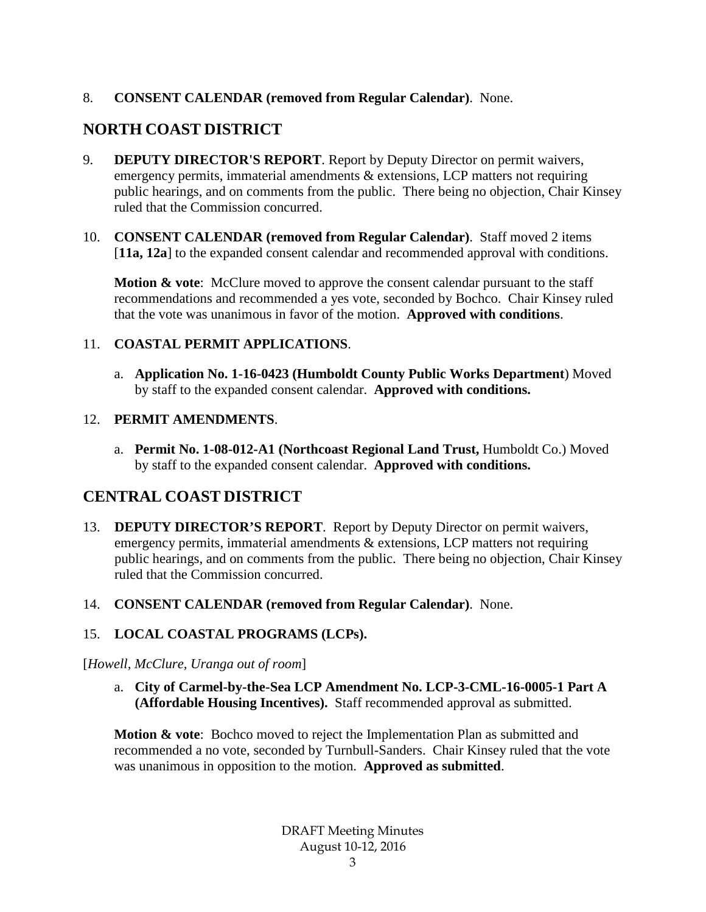### 8. **CONSENT CALENDAR (removed from Regular Calendar)**. None.

# **NORTH COAST DISTRICT**

- 9. **DEPUTY DIRECTOR'S REPORT**. Report by Deputy Director on permit waivers, emergency permits, immaterial amendments & extensions, LCP matters not requiring public hearings, and on comments from the public. There being no objection, Chair Kinsey ruled that the Commission concurred.
- 10. **CONSENT CALENDAR (removed from Regular Calendar)**. Staff moved 2 items [11a, 12a] to the expanded consent calendar and recommended approval with conditions.

**Motion & vote:** McClure moved to approve the consent calendar pursuant to the staff recommendations and recommended a yes vote, seconded by Bochco. Chair Kinsey ruled that the vote was unanimous in favor of the motion. **Approved with conditions**.

### 11. **COASTAL PERMIT APPLICATIONS**.

a. **Application No. 1-16-0423 (Humboldt County Public Works Department**) Moved by staff to the expanded consent calendar. **Approved with conditions.**

### 12. **PERMIT AMENDMENTS**.

a. **Permit No. 1-08-012-A1 (Northcoast Regional Land Trust,** Humboldt Co.) Moved by staff to the expanded consent calendar. **Approved with conditions.**

# **CENTRAL COAST DISTRICT**

- 13. **DEPUTY DIRECTOR'S REPORT**. Report by Deputy Director on permit waivers, emergency permits, immaterial amendments & extensions, LCP matters not requiring public hearings, and on comments from the public. There being no objection, Chair Kinsey ruled that the Commission concurred.
- 14. **CONSENT CALENDAR (removed from Regular Calendar)**. None.

# 15. **LOCAL COASTAL PROGRAMS (LCPs).**

### [*Howell, McClure, Uranga out of room*]

a. **City of Carmel-by-the-Sea LCP Amendment No. LCP-3-CML-16-0005-1 Part A (Affordable Housing Incentives).** Staff recommended approval as submitted.

**Motion & vote**: Bochco moved to reject the Implementation Plan as submitted and recommended a no vote, seconded by Turnbull-Sanders. Chair Kinsey ruled that the vote was unanimous in opposition to the motion. **Approved as submitted**.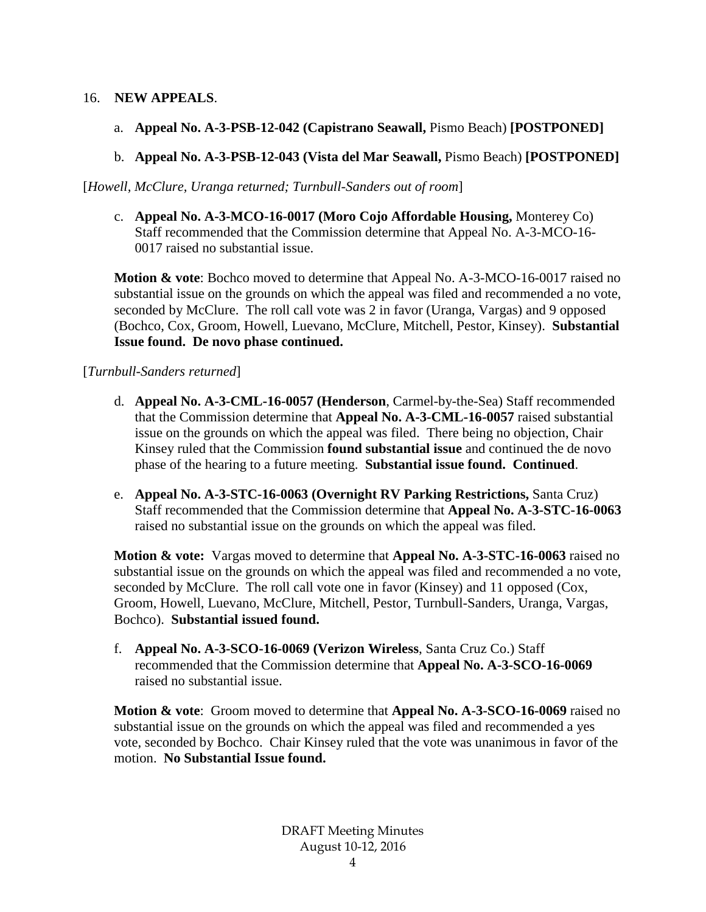### 16. **NEW APPEALS**.

- a. **Appeal No. A-3-PSB-12-042 (Capistrano Seawall,** Pismo Beach) **[POSTPONED]**
- b. **Appeal No. A-3-PSB-12-043 (Vista del Mar Seawall,** Pismo Beach) **[POSTPONED]**

[*Howell, McClure, Uranga returned; Turnbull-Sanders out of room*]

c. **Appeal No. A-3-MCO-16-0017 (Moro Cojo Affordable Housing,** Monterey Co) Staff recommended that the Commission determine that Appeal No. A-3-MCO-16- 0017 raised no substantial issue.

**Motion & vote**: Bochco moved to determine that Appeal No. A-3-MCO-16-0017 raised no substantial issue on the grounds on which the appeal was filed and recommended a no vote, seconded by McClure. The roll call vote was 2 in favor (Uranga, Vargas) and 9 opposed (Bochco, Cox, Groom, Howell, Luevano, McClure, Mitchell, Pestor, Kinsey). **Substantial Issue found. De novo phase continued.**

#### [*Turnbull-Sanders returned*]

- d. **Appeal No. A-3-CML-16-0057 (Henderson**, Carmel-by-the-Sea) Staff recommended that the Commission determine that **Appeal No. A-3-CML-16-0057** raised substantial issue on the grounds on which the appeal was filed. There being no objection, Chair Kinsey ruled that the Commission **found substantial issue** and continued the de novo phase of the hearing to a future meeting. **Substantial issue found. Continued**.
- e. **Appeal No. A-3-STC-16-0063 (Overnight RV Parking Restrictions,** Santa Cruz) Staff recommended that the Commission determine that **Appeal No. A-3-STC-16-0063**  raised no substantial issue on the grounds on which the appeal was filed.

**Motion & vote:** Vargas moved to determine that **Appeal No. A-3-STC-16-0063** raised no substantial issue on the grounds on which the appeal was filed and recommended a no vote, seconded by McClure. The roll call vote one in favor (Kinsey) and 11 opposed (Cox, Groom, Howell, Luevano, McClure, Mitchell, Pestor, Turnbull-Sanders, Uranga, Vargas, Bochco). **Substantial issued found.**

f. **Appeal No. A-3-SCO-16-0069 (Verizon Wireless**, Santa Cruz Co.) Staff recommended that the Commission determine that **Appeal No. A-3-SCO-16-0069** raised no substantial issue.

**Motion & vote**: Groom moved to determine that **Appeal No. A-3-SCO-16-0069** raised no substantial issue on the grounds on which the appeal was filed and recommended a yes vote, seconded by Bochco. Chair Kinsey ruled that the vote was unanimous in favor of the motion. **No Substantial Issue found.**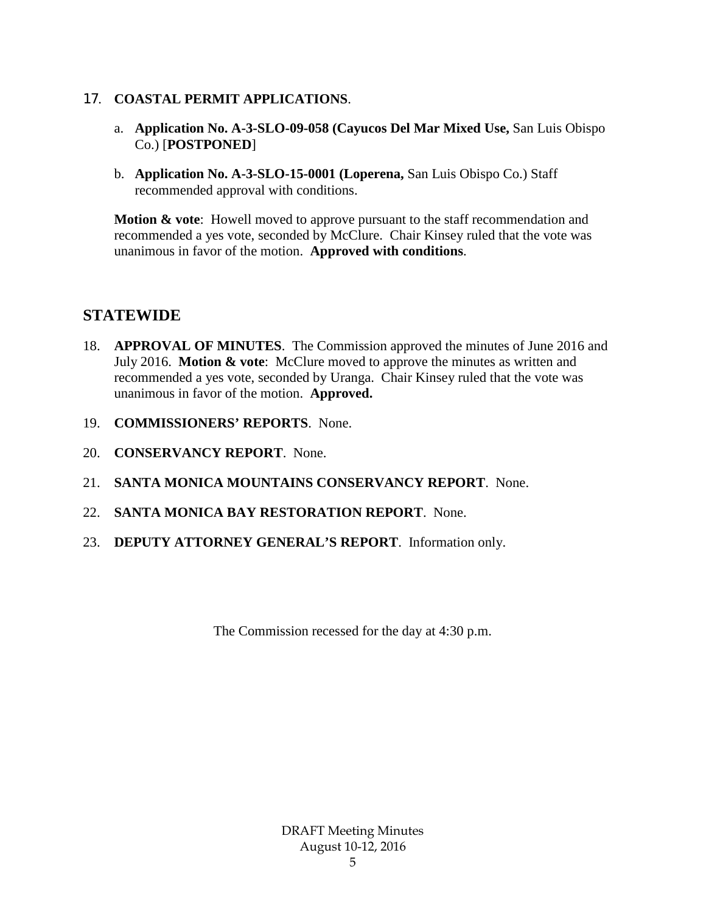#### 17. **COASTAL PERMIT APPLICATIONS**.

- a. **Application No. A-3-SLO-09-058 (Cayucos Del Mar Mixed Use,** San Luis Obispo Co.) [**POSTPONED**]
- b. **Application No. A-3-SLO-15-0001 (Loperena,** San Luis Obispo Co.) Staff recommended approval with conditions.

**Motion & vote:** Howell moved to approve pursuant to the staff recommendation and recommended a yes vote, seconded by McClure. Chair Kinsey ruled that the vote was unanimous in favor of the motion. **Approved with conditions**.

# **STATEWIDE**

- 18. **APPROVAL OF MINUTES**. The Commission approved the minutes of June 2016 and July 2016. **Motion & vote**: McClure moved to approve the minutes as written and recommended a yes vote, seconded by Uranga. Chair Kinsey ruled that the vote was unanimous in favor of the motion. **Approved.**
- 19. **COMMISSIONERS' REPORTS**. None.
- 20. **CONSERVANCY REPORT**. None.
- 21. **SANTA MONICA MOUNTAINS CONSERVANCY REPORT**. None.
- 22. **SANTA MONICA BAY RESTORATION REPORT**. None.
- 23. **DEPUTY ATTORNEY GENERAL'S REPORT**. Information only.

The Commission recessed for the day at 4:30 p.m.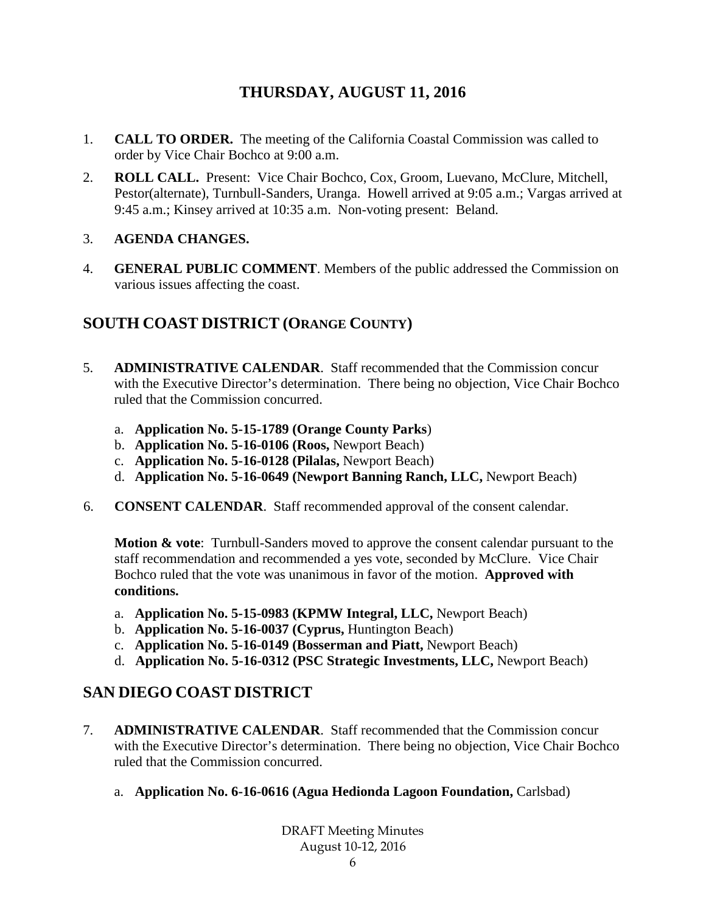# **THURSDAY, AUGUST 11, 2016**

- 1. **CALL TO ORDER.** The meeting of the California Coastal Commission was called to order by Vice Chair Bochco at 9:00 a.m.
- 2. **ROLL CALL.** Present: Vice Chair Bochco, Cox, Groom, Luevano, McClure, Mitchell, Pestor(alternate), Turnbull-Sanders, Uranga. Howell arrived at 9:05 a.m.; Vargas arrived at 9:45 a.m.; Kinsey arrived at 10:35 a.m. Non-voting present: Beland.

### 3. **AGENDA CHANGES.**

4. **GENERAL PUBLIC COMMENT**. Members of the public addressed the Commission on various issues affecting the coast.

# **SOUTH COAST DISTRICT (ORANGE COUNTY)**

- 5. **ADMINISTRATIVE CALENDAR**. Staff recommended that the Commission concur with the Executive Director's determination. There being no objection, Vice Chair Bochco ruled that the Commission concurred.
	- a. **Application No. 5-15-1789 (Orange County Parks**)
	- b. **Application No. 5-16-0106 (Roos,** Newport Beach)
	- c. **Application No. 5-16-0128 (Pilalas,** Newport Beach)
	- d. **Application No. 5-16-0649 (Newport Banning Ranch, LLC,** Newport Beach)
- 6. **CONSENT CALENDAR**. Staff recommended approval of the consent calendar.

**Motion & vote**: Turnbull-Sanders moved to approve the consent calendar pursuant to the staff recommendation and recommended a yes vote, seconded by McClure. Vice Chair Bochco ruled that the vote was unanimous in favor of the motion. **Approved with conditions.**

- a. **Application No. 5-15-0983 (KPMW Integral, LLC,** Newport Beach)
- b. **Application No. 5-16-0037 (Cyprus,** Huntington Beach)
- c. **Application No. 5-16-0149 (Bosserman and Piatt,** Newport Beach)
- d. **Application No. 5-16-0312 (PSC Strategic Investments, LLC,** Newport Beach)

# **SAN DIEGO COAST DISTRICT**

- 7. **ADMINISTRATIVE CALENDAR**. Staff recommended that the Commission concur with the Executive Director's determination. There being no objection, Vice Chair Bochco ruled that the Commission concurred.
	- a. **Application No. 6-16-0616 (Agua Hedionda Lagoon Foundation,** Carlsbad)

DRAFT Meeting Minutes August 10-12, 2016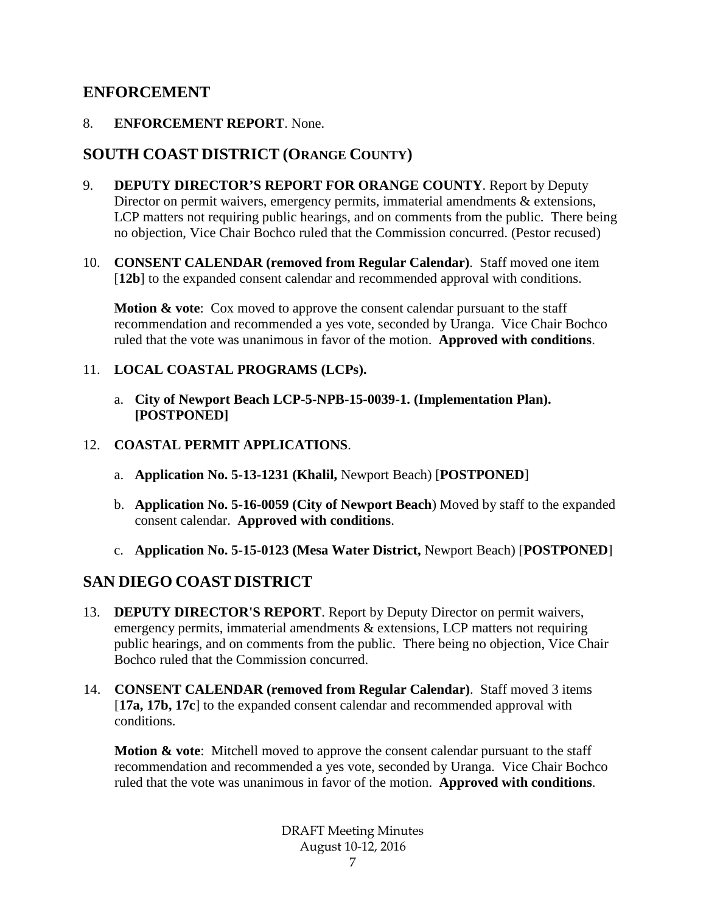# **ENFORCEMENT**

8. **ENFORCEMENT REPORT**. None.

# **SOUTH COAST DISTRICT (ORANGE COUNTY)**

- 9. **DEPUTY DIRECTOR'S REPORT FOR ORANGE COUNTY**. Report by Deputy Director on permit waivers, emergency permits, immaterial amendments & extensions, LCP matters not requiring public hearings, and on comments from the public. There being no objection, Vice Chair Bochco ruled that the Commission concurred. (Pestor recused)
- 10. **CONSENT CALENDAR (removed from Regular Calendar)**. Staff moved one item [12b] to the expanded consent calendar and recommended approval with conditions.

**Motion & vote:** Cox moved to approve the consent calendar pursuant to the staff recommendation and recommended a yes vote, seconded by Uranga. Vice Chair Bochco ruled that the vote was unanimous in favor of the motion. **Approved with conditions**.

### 11. **LOCAL COASTAL PROGRAMS (LCPs).**

a. **City of Newport Beach LCP-5-NPB-15-0039-1. (Implementation Plan). [POSTPONED]**

### 12. **COASTAL PERMIT APPLICATIONS**.

- a. **Application No. 5-13-1231 (Khalil,** Newport Beach) [**POSTPONED**]
- b. **Application No. 5-16-0059 (City of Newport Beach**) Moved by staff to the expanded consent calendar. **Approved with conditions**.
- c. **Application No. 5-15-0123 (Mesa Water District,** Newport Beach) [**POSTPONED**]

# **SAN DIEGO COAST DISTRICT**

- 13. **DEPUTY DIRECTOR'S REPORT**. Report by Deputy Director on permit waivers, emergency permits, immaterial amendments & extensions, LCP matters not requiring public hearings, and on comments from the public. There being no objection, Vice Chair Bochco ruled that the Commission concurred.
- 14. **CONSENT CALENDAR (removed from Regular Calendar)**. Staff moved 3 items [**17a, 17b, 17c**] to the expanded consent calendar and recommended approval with conditions.

**Motion & vote**: Mitchell moved to approve the consent calendar pursuant to the staff recommendation and recommended a yes vote, seconded by Uranga. Vice Chair Bochco ruled that the vote was unanimous in favor of the motion. **Approved with conditions**.

> DRAFT Meeting Minutes August 10-12, 2016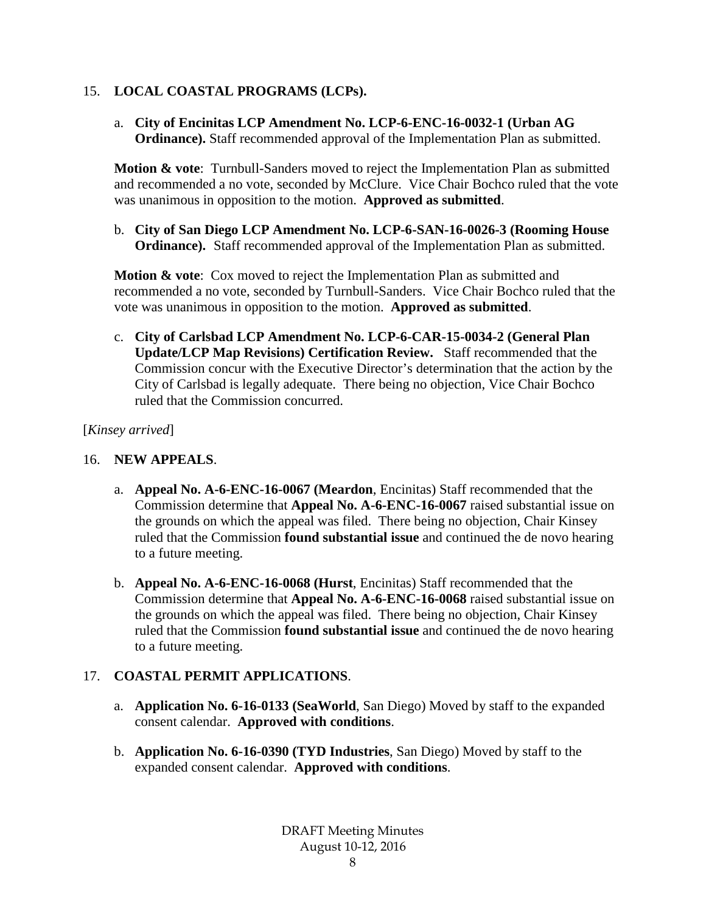### 15. **LOCAL COASTAL PROGRAMS (LCPs).**

a. **City of Encinitas LCP Amendment No. LCP-6-ENC-16-0032-1 (Urban AG Ordinance).** Staff recommended approval of the Implementation Plan as submitted.

**Motion & vote**: Turnbull-Sanders moved to reject the Implementation Plan as submitted and recommended a no vote, seconded by McClure. Vice Chair Bochco ruled that the vote was unanimous in opposition to the motion. **Approved as submitted**.

b. **City of San Diego LCP Amendment No. LCP-6-SAN-16-0026-3 (Rooming House Ordinance).** Staff recommended approval of the Implementation Plan as submitted.

**Motion & vote**: Cox moved to reject the Implementation Plan as submitted and recommended a no vote, seconded by Turnbull-Sanders. Vice Chair Bochco ruled that the vote was unanimous in opposition to the motion. **Approved as submitted**.

c. **City of Carlsbad LCP Amendment No. LCP-6-CAR-15-0034-2 (General Plan Update/LCP Map Revisions) Certification Review.** Staff recommended that the Commission concur with the Executive Director's determination that the action by the City of Carlsbad is legally adequate. There being no objection, Vice Chair Bochco ruled that the Commission concurred.

### [*Kinsey arrived*]

### 16. **NEW APPEALS**.

- a. **Appeal No. A-6-ENC-16-0067 (Meardon**, Encinitas) Staff recommended that the Commission determine that **Appeal No. A-6-ENC-16-0067** raised substantial issue on the grounds on which the appeal was filed. There being no objection, Chair Kinsey ruled that the Commission **found substantial issue** and continued the de novo hearing to a future meeting.
- b. **Appeal No. A-6-ENC-16-0068 (Hurst**, Encinitas) Staff recommended that the Commission determine that **Appeal No. A-6-ENC-16-0068** raised substantial issue on the grounds on which the appeal was filed. There being no objection, Chair Kinsey ruled that the Commission **found substantial issue** and continued the de novo hearing to a future meeting.

# 17. **COASTAL PERMIT APPLICATIONS**.

- a. **Application No. 6-16-0133 (SeaWorld**, San Diego) Moved by staff to the expanded consent calendar. **Approved with conditions**.
- b. **Application No. 6-16-0390 (TYD Industries**, San Diego) Moved by staff to the expanded consent calendar. **Approved with conditions**.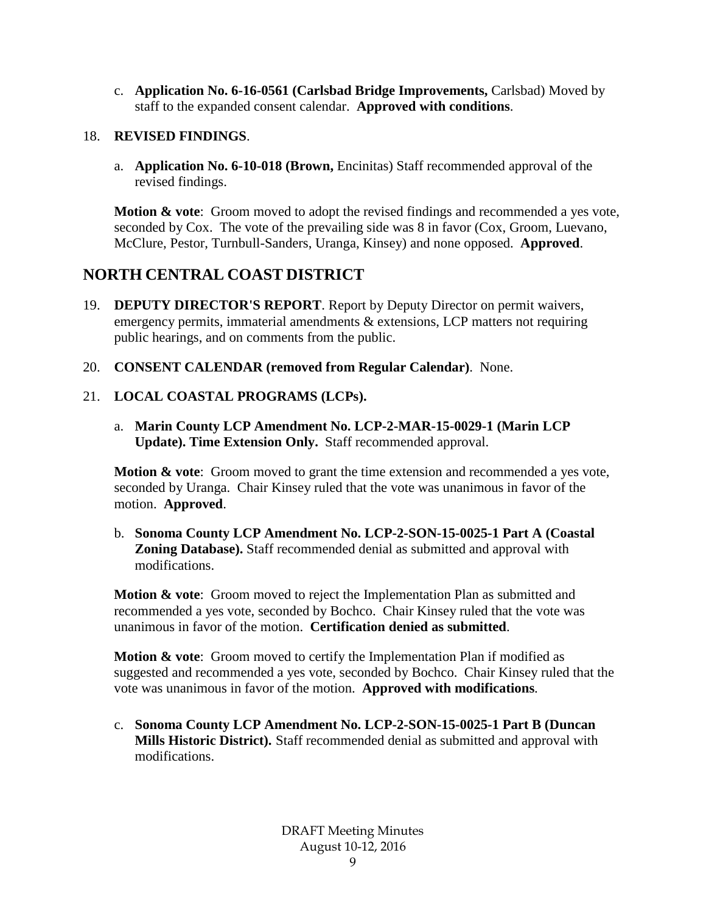c. **Application No. 6-16-0561 (Carlsbad Bridge Improvements,** Carlsbad) Moved by staff to the expanded consent calendar. **Approved with conditions**.

### 18. **REVISED FINDINGS**.

a. **Application No. 6-10-018 (Brown,** Encinitas) Staff recommended approval of the revised findings.

**Motion & vote**: Groom moved to adopt the revised findings and recommended a yes vote, seconded by Cox. The vote of the prevailing side was 8 in favor (Cox, Groom, Luevano, McClure, Pestor, Turnbull-Sanders, Uranga, Kinsey) and none opposed. **Approved**.

# **NORTH CENTRAL COAST DISTRICT**

- 19. **DEPUTY DIRECTOR'S REPORT**. Report by Deputy Director on permit waivers, emergency permits, immaterial amendments & extensions, LCP matters not requiring public hearings, and on comments from the public.
- 20. **CONSENT CALENDAR (removed from Regular Calendar)**. None.

# 21. **LOCAL COASTAL PROGRAMS (LCPs).**

a. **Marin County LCP Amendment No. LCP-2-MAR-15-0029-1 (Marin LCP Update). Time Extension Only.** Staff recommended approval.

**Motion & vote:** Groom moved to grant the time extension and recommended a yes vote, seconded by Uranga. Chair Kinsey ruled that the vote was unanimous in favor of the motion. **Approved**.

b. **Sonoma County LCP Amendment No. LCP-2-SON-15-0025-1 Part A (Coastal Zoning Database).** Staff recommended denial as submitted and approval with modifications.

**Motion & vote:** Groom moved to reject the Implementation Plan as submitted and recommended a yes vote, seconded by Bochco. Chair Kinsey ruled that the vote was unanimous in favor of the motion. **Certification denied as submitted**.

**Motion & vote:** Groom moved to certify the Implementation Plan if modified as suggested and recommended a yes vote, seconded by Bochco. Chair Kinsey ruled that the vote was unanimous in favor of the motion. **Approved with modifications**.

c. **Sonoma County LCP Amendment No. LCP-2-SON-15-0025-1 Part B (Duncan Mills Historic District).** Staff recommended denial as submitted and approval with modifications.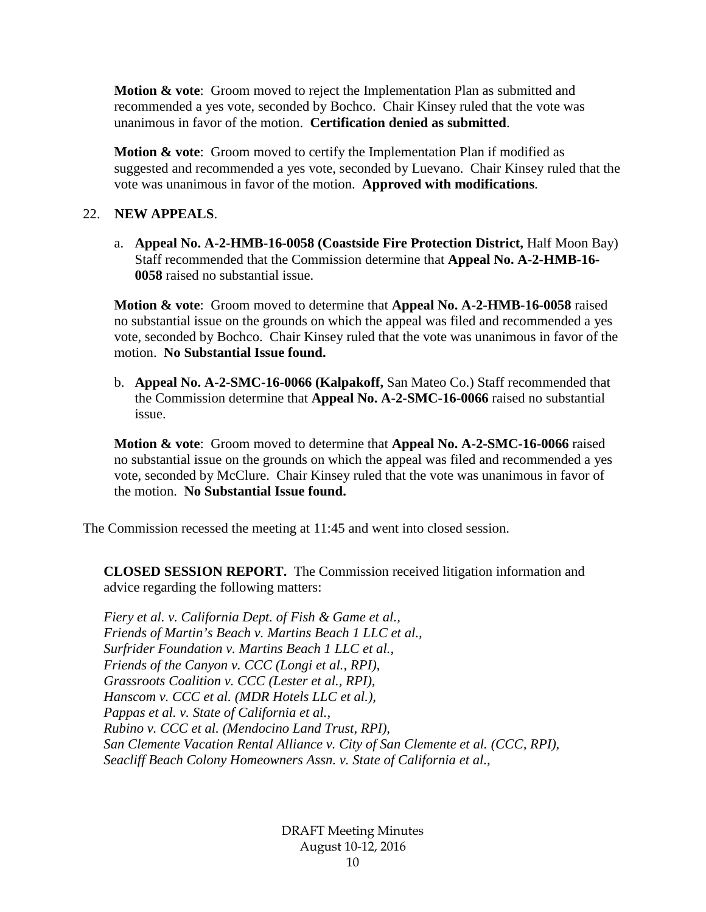**Motion & vote**: Groom moved to reject the Implementation Plan as submitted and recommended a yes vote, seconded by Bochco. Chair Kinsey ruled that the vote was unanimous in favor of the motion. **Certification denied as submitted**.

**Motion & vote:** Groom moved to certify the Implementation Plan if modified as suggested and recommended a yes vote, seconded by Luevano. Chair Kinsey ruled that the vote was unanimous in favor of the motion. **Approved with modifications**.

#### 22. **NEW APPEALS**.

a. **Appeal No. A-2-HMB-16-0058 (Coastside Fire Protection District,** Half Moon Bay) Staff recommended that the Commission determine that **Appeal No. A-2-HMB-16- 0058** raised no substantial issue.

**Motion & vote**: Groom moved to determine that **Appeal No. A-2-HMB-16-0058** raised no substantial issue on the grounds on which the appeal was filed and recommended a yes vote, seconded by Bochco. Chair Kinsey ruled that the vote was unanimous in favor of the motion. **No Substantial Issue found.**

b. **Appeal No. A-2-SMC-16-0066 (Kalpakoff,** San Mateo Co.) Staff recommended that the Commission determine that **Appeal No. A-2-SMC-16-0066** raised no substantial issue.

**Motion & vote**: Groom moved to determine that **Appeal No. A-2-SMC-16-0066** raised no substantial issue on the grounds on which the appeal was filed and recommended a yes vote, seconded by McClure. Chair Kinsey ruled that the vote was unanimous in favor of the motion. **No Substantial Issue found.**

The Commission recessed the meeting at 11:45 and went into closed session.

**CLOSED SESSION REPORT.** The Commission received litigation information and advice regarding the following matters:

*Fiery et al. v. California Dept. of Fish & Game et al., Friends of Martin's Beach v. Martins Beach 1 LLC et al., Surfrider Foundation v. Martins Beach 1 LLC et al., Friends of the Canyon v. CCC (Longi et al., RPI), Grassroots Coalition v. CCC (Lester et al., RPI), Hanscom v. CCC et al. (MDR Hotels LLC et al.), Pappas et al. v. State of California et al., Rubino v. CCC et al. (Mendocino Land Trust, RPI), San Clemente Vacation Rental Alliance v. City of San Clemente et al. (CCC, RPI), Seacliff Beach Colony Homeowners Assn. v. State of California et al.,* 

> DRAFT Meeting Minutes August 10-12, 2016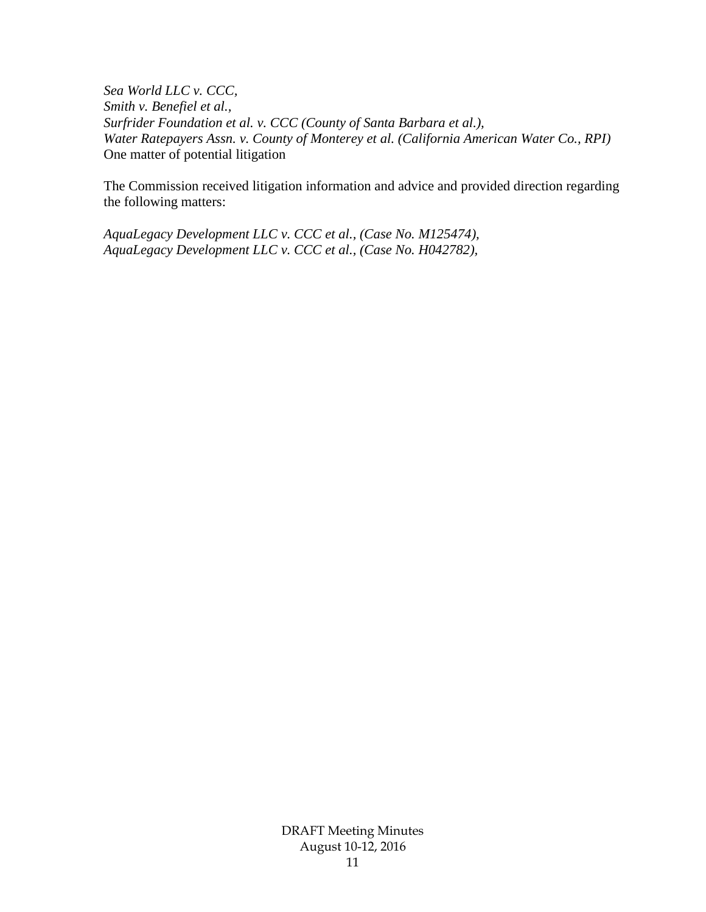*Sea World LLC v. CCC, Smith v. Benefiel et al., Surfrider Foundation et al. v. CCC (County of Santa Barbara et al.), Water Ratepayers Assn. v. County of Monterey et al. (California American Water Co., RPI)*  One matter of potential litigation

The Commission received litigation information and advice and provided direction regarding the following matters:

*AquaLegacy Development LLC v. CCC et al., (Case No. M125474), AquaLegacy Development LLC v. CCC et al., (Case No. H042782),*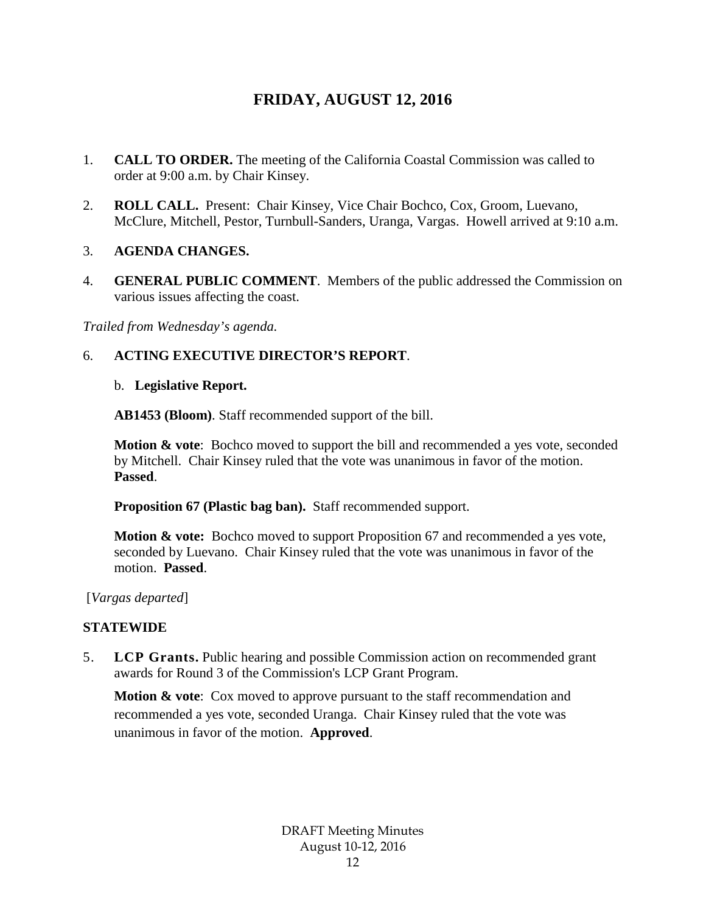# **FRIDAY, AUGUST 12, 2016**

- 1. **CALL TO ORDER.** The meeting of the California Coastal Commission was called to order at 9:00 a.m. by Chair Kinsey.
- 2. **ROLL CALL.** Present: Chair Kinsey, Vice Chair Bochco, Cox, Groom, Luevano, McClure, Mitchell, Pestor, Turnbull-Sanders, Uranga, Vargas. Howell arrived at 9:10 a.m.

#### 3. **AGENDA CHANGES.**

4. **GENERAL PUBLIC COMMENT**. Members of the public addressed the Commission on various issues affecting the coast.

*Trailed from Wednesday's agenda.* 

### 6. **ACTING EXECUTIVE DIRECTOR'S REPORT**.

#### b. **Legislative Report.**

**AB1453 (Bloom)**. Staff recommended support of the bill.

**Motion & vote**: Bochco moved to support the bill and recommended a yes vote, seconded by Mitchell. Chair Kinsey ruled that the vote was unanimous in favor of the motion. **Passed**.

**Proposition 67 (Plastic bag ban).** Staff recommended support.

**Motion & vote:** Bochco moved to support Proposition 67 and recommended a yes vote, seconded by Luevano. Chair Kinsey ruled that the vote was unanimous in favor of the motion. **Passed**.

[*Vargas departed*]

### **STATEWIDE**

5. **LCP Grants.** Public hearing and possible Commission action on recommended grant awards for Round 3 of the Commission's LCP Grant Program.

**Motion & vote:** Cox moved to approve pursuant to the staff recommendation and recommended a yes vote, seconded Uranga. Chair Kinsey ruled that the vote was unanimous in favor of the motion. **Approved**.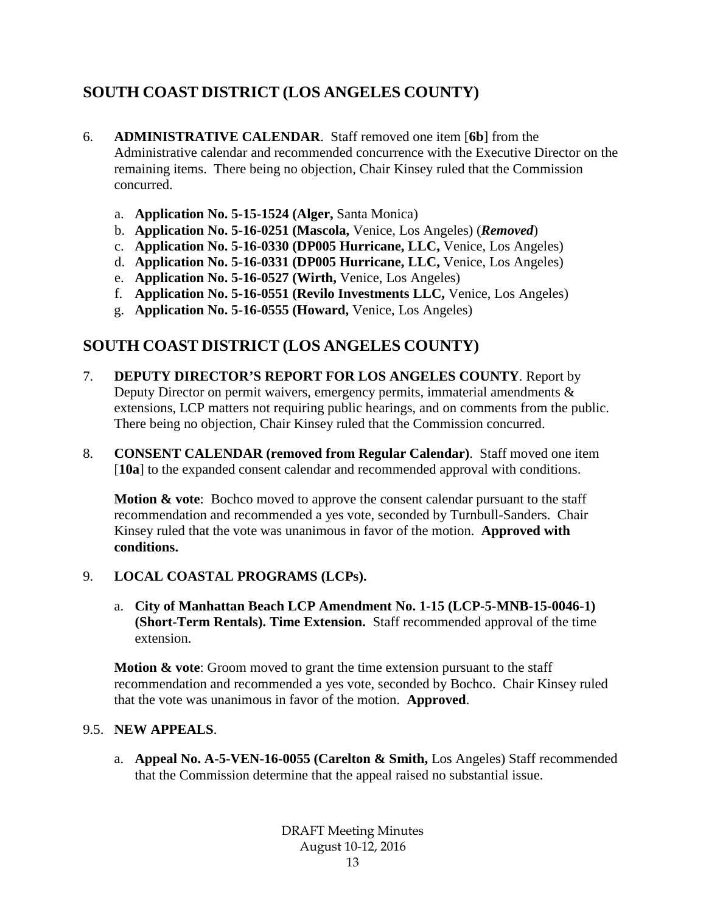# **SOUTH COAST DISTRICT (LOS ANGELES COUNTY)**

- 6. **ADMINISTRATIVE CALENDAR**. Staff removed one item [**6b**] from the Administrative calendar and recommended concurrence with the Executive Director on the remaining items. There being no objection, Chair Kinsey ruled that the Commission concurred.
	- a. **Application No. 5-15-1524 (Alger,** Santa Monica)
	- b. **Application No. 5-16-0251 (Mascola,** Venice, Los Angeles) (*Removed*)
	- c. **Application No. 5-16-0330 (DP005 Hurricane, LLC,** Venice, Los Angeles)
	- d. **Application No. 5-16-0331 (DP005 Hurricane, LLC,** Venice, Los Angeles)
	- e. **Application No. 5-16-0527 (Wirth,** Venice, Los Angeles)
	- f. **Application No. 5-16-0551 (Revilo Investments LLC,** Venice, Los Angeles)
	- g. **Application No. 5-16-0555 (Howard,** Venice, Los Angeles)

# **SOUTH COAST DISTRICT (LOS ANGELES COUNTY)**

- 7. **DEPUTY DIRECTOR'S REPORT FOR LOS ANGELES COUNTY**. Report by Deputy Director on permit waivers, emergency permits, immaterial amendments & extensions, LCP matters not requiring public hearings, and on comments from the public. There being no objection, Chair Kinsey ruled that the Commission concurred.
- 8. **CONSENT CALENDAR (removed from Regular Calendar)**. Staff moved one item [10a] to the expanded consent calendar and recommended approval with conditions.

**Motion & vote**: Bochco moved to approve the consent calendar pursuant to the staff recommendation and recommended a yes vote, seconded by Turnbull-Sanders. Chair Kinsey ruled that the vote was unanimous in favor of the motion. **Approved with conditions.**

# 9. **LOCAL COASTAL PROGRAMS (LCPs).**

a. **City of Manhattan Beach LCP Amendment No. 1-15 (LCP-5-MNB-15-0046-1) (Short-Term Rentals). Time Extension.** Staff recommended approval of the time extension.

**Motion & vote:** Groom moved to grant the time extension pursuant to the staff recommendation and recommended a yes vote, seconded by Bochco. Chair Kinsey ruled that the vote was unanimous in favor of the motion. **Approved**.

# 9.5. **NEW APPEALS**.

a. **Appeal No. A-5-VEN-16-0055 (Carelton & Smith,** Los Angeles) Staff recommended that the Commission determine that the appeal raised no substantial issue.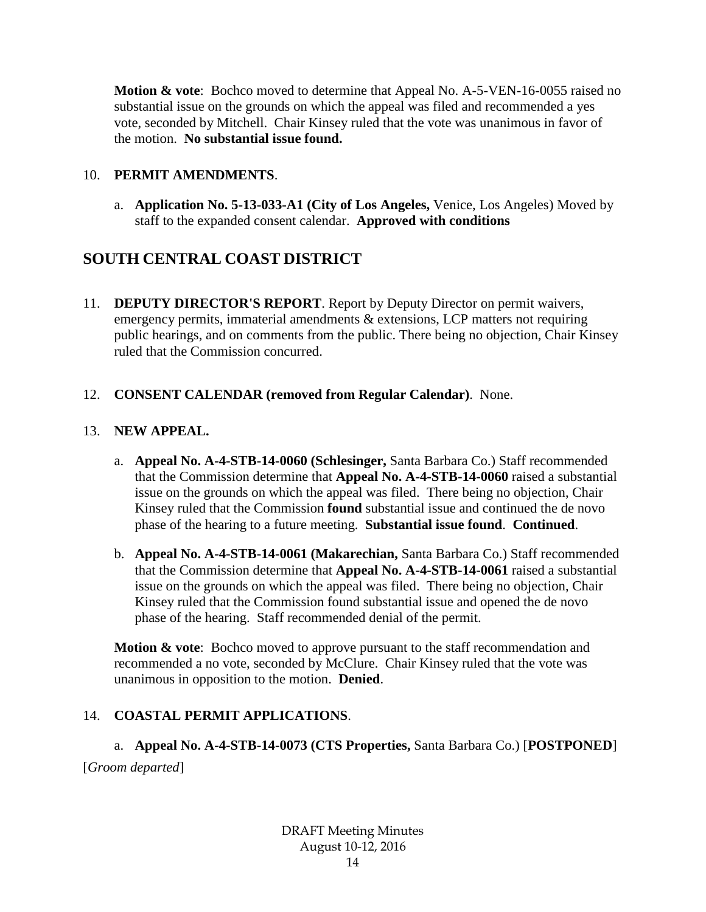**Motion & vote**: Bochco moved to determine that Appeal No. A-5-VEN-16-0055 raised no substantial issue on the grounds on which the appeal was filed and recommended a yes vote, seconded by Mitchell. Chair Kinsey ruled that the vote was unanimous in favor of the motion. **No substantial issue found.**

### 10. **PERMIT AMENDMENTS**.

a. **Application No. 5-13-033-A1 (City of Los Angeles,** Venice, Los Angeles) Moved by staff to the expanded consent calendar. **Approved with conditions**

# **SOUTH CENTRAL COAST DISTRICT**

11. **DEPUTY DIRECTOR'S REPORT**. Report by Deputy Director on permit waivers, emergency permits, immaterial amendments & extensions, LCP matters not requiring public hearings, and on comments from the public. There being no objection, Chair Kinsey ruled that the Commission concurred.

### 12. **CONSENT CALENDAR (removed from Regular Calendar)**. None.

### 13. **NEW APPEAL.**

- a. **Appeal No. A-4-STB-14-0060 (Schlesinger,** Santa Barbara Co.) Staff recommended that the Commission determine that **Appeal No. A-4-STB-14-0060** raised a substantial issue on the grounds on which the appeal was filed. There being no objection, Chair Kinsey ruled that the Commission **found** substantial issue and continued the de novo phase of the hearing to a future meeting. **Substantial issue found**. **Continued**.
- b. **Appeal No. A-4-STB-14-0061 (Makarechian,** Santa Barbara Co.) Staff recommended that the Commission determine that **Appeal No. A-4-STB-14-0061** raised a substantial issue on the grounds on which the appeal was filed. There being no objection, Chair Kinsey ruled that the Commission found substantial issue and opened the de novo phase of the hearing. Staff recommended denial of the permit.

**Motion & vote:** Bochco moved to approve pursuant to the staff recommendation and recommended a no vote, seconded by McClure. Chair Kinsey ruled that the vote was unanimous in opposition to the motion. **Denied**.

# 14. **COASTAL PERMIT APPLICATIONS**.

a. **Appeal No. A-4-STB-14-0073 (CTS Properties,** Santa Barbara Co.) [**POSTPONED**] [*Groom departed*]